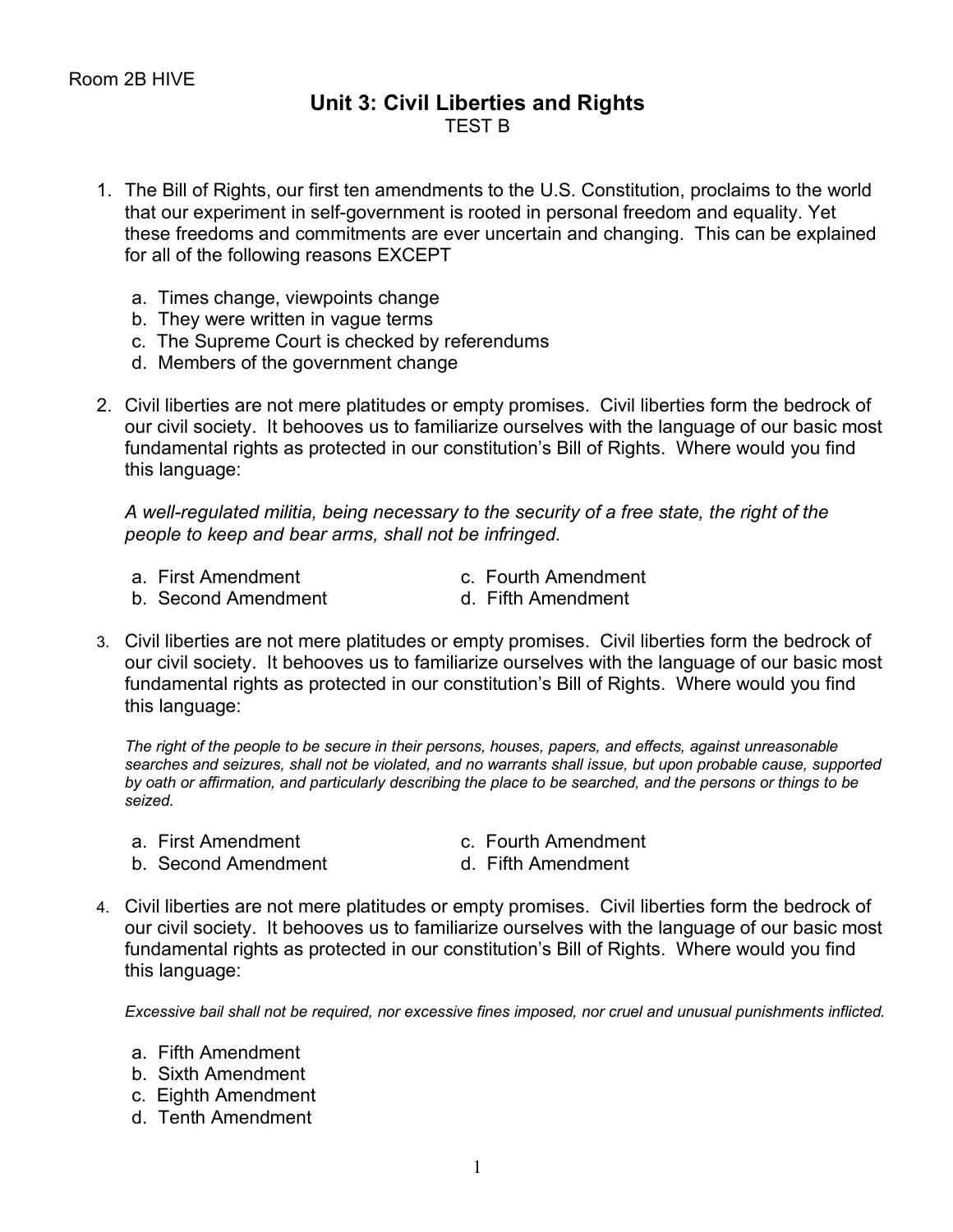## **Unit 3: Civil Liberties and Rights** TEST B

- 1. The Bill of Rights, our first ten amendments to the U.S. Constitution, proclaims to the world that our experiment in self-government is rooted in personal freedom and equality. Yet these freedoms and commitments are ever uncertain and changing. This can be explained for all of the following reasons EXCEPT
	- a. Times change, viewpoints change
	- b. They were written in vague terms
	- c. The Supreme Court is checked by referendums
	- d. Members of the government change
- 2. Civil liberties are not mere platitudes or empty promises. Civil liberties form the bedrock of our civil society. It behooves us to familiarize ourselves with the language of our basic most fundamental rights as protected in our constitution's Bill of Rights. Where would you find this language:

*A well-regulated militia, being necessary to the security of a free state, the right of the people to keep and bear arms, shall not be infringed.*

- 
- a. First Amendment c. Fourth Amendment
- b. Second Amendment and Fifth Amendment
- 
- 3. Civil liberties are not mere platitudes or empty promises. Civil liberties form the bedrock of our civil society. It behooves us to familiarize ourselves with the language of our basic most fundamental rights as protected in our constitution's Bill of Rights. Where would you find this language:

*The right of the people to be secure in their persons, houses, papers, and effects, against unreasonable searches and seizures, shall not be violated, and no warrants shall issue, but upon probable cause, supported by oath or affirmation, and particularly describing the place to be searched, and the persons or things to be seized.*

- 
- a. First Amendment c. Fourth Amendment
- b. Second Amendment and all Fifth Amendment
- 
- 4. Civil liberties are not mere platitudes or empty promises. Civil liberties form the bedrock of our civil society. It behooves us to familiarize ourselves with the language of our basic most fundamental rights as protected in our constitution's Bill of Rights. Where would you find this language:

*Excessive bail shall not be required, nor excessive fines imposed, nor cruel and unusual punishments inflicted.*

- a. Fifth Amendment
- b. Sixth Amendment
- c. Eighth Amendment
- d. Tenth Amendment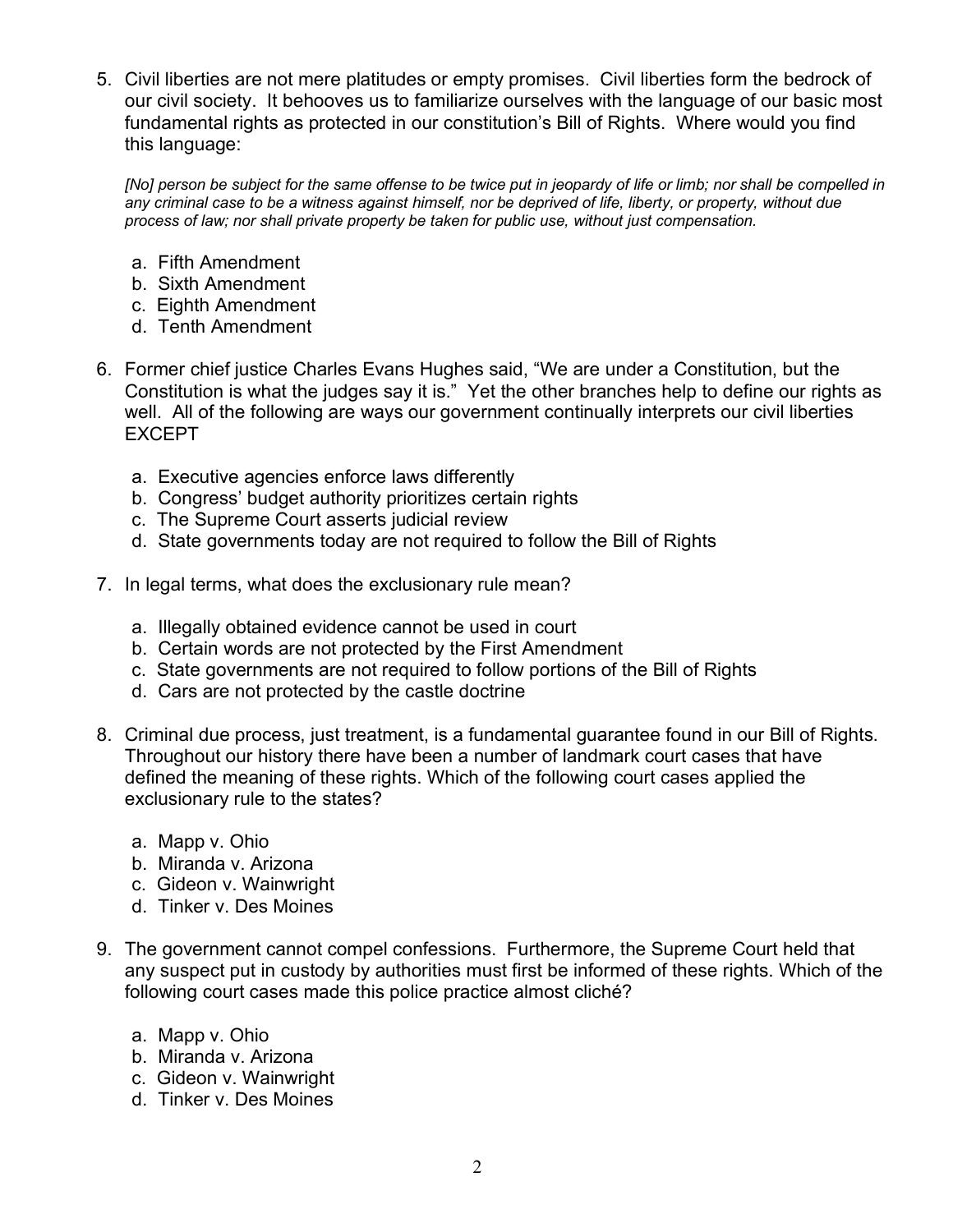5. Civil liberties are not mere platitudes or empty promises. Civil liberties form the bedrock of our civil society. It behooves us to familiarize ourselves with the language of our basic most fundamental rights as protected in our constitution's Bill of Rights. Where would you find this language:

*[No] person be subject for the same offense to be twice put in jeopardy of life or limb; nor shall be compelled in any criminal case to be a witness against himself, nor be deprived of life, liberty, or property, without due process of law; nor shall private property be taken for public use, without just compensation.*

- a. Fifth Amendment
- b. Sixth Amendment
- c. Eighth Amendment
- d. Tenth Amendment
- 6. Former chief justice Charles Evans Hughes said, "We are under a Constitution, but the Constitution is what the judges say it is." Yet the other branches help to define our rights as well. All of the following are ways our government continually interprets our civil liberties EXCEPT
	- a. Executive agencies enforce laws differently
	- b. Congress' budget authority prioritizes certain rights
	- c. The Supreme Court asserts judicial review
	- d. State governments today are not required to follow the Bill of Rights
- 7. In legal terms, what does the exclusionary rule mean?
	- a. Illegally obtained evidence cannot be used in court
	- b. Certain words are not protected by the First Amendment
	- c. State governments are not required to follow portions of the Bill of Rights
	- d. Cars are not protected by the castle doctrine
- 8. Criminal due process, just treatment, is a fundamental guarantee found in our Bill of Rights. Throughout our history there have been a number of landmark court cases that have defined the meaning of these rights. Which of the following court cases applied the exclusionary rule to the states?
	- a. Mapp v. Ohio
	- b. Miranda v. Arizona
	- c. Gideon v. Wainwright
	- d. Tinker v. Des Moines
- 9. The government cannot compel confessions. Furthermore, the Supreme Court held that any suspect put in custody by authorities must first be informed of these rights. Which of the following court cases made this police practice almost cliché?
	- a. Mapp v. Ohio
	- b. Miranda v. Arizona
	- c. Gideon v. Wainwright
	- d. Tinker v. Des Moines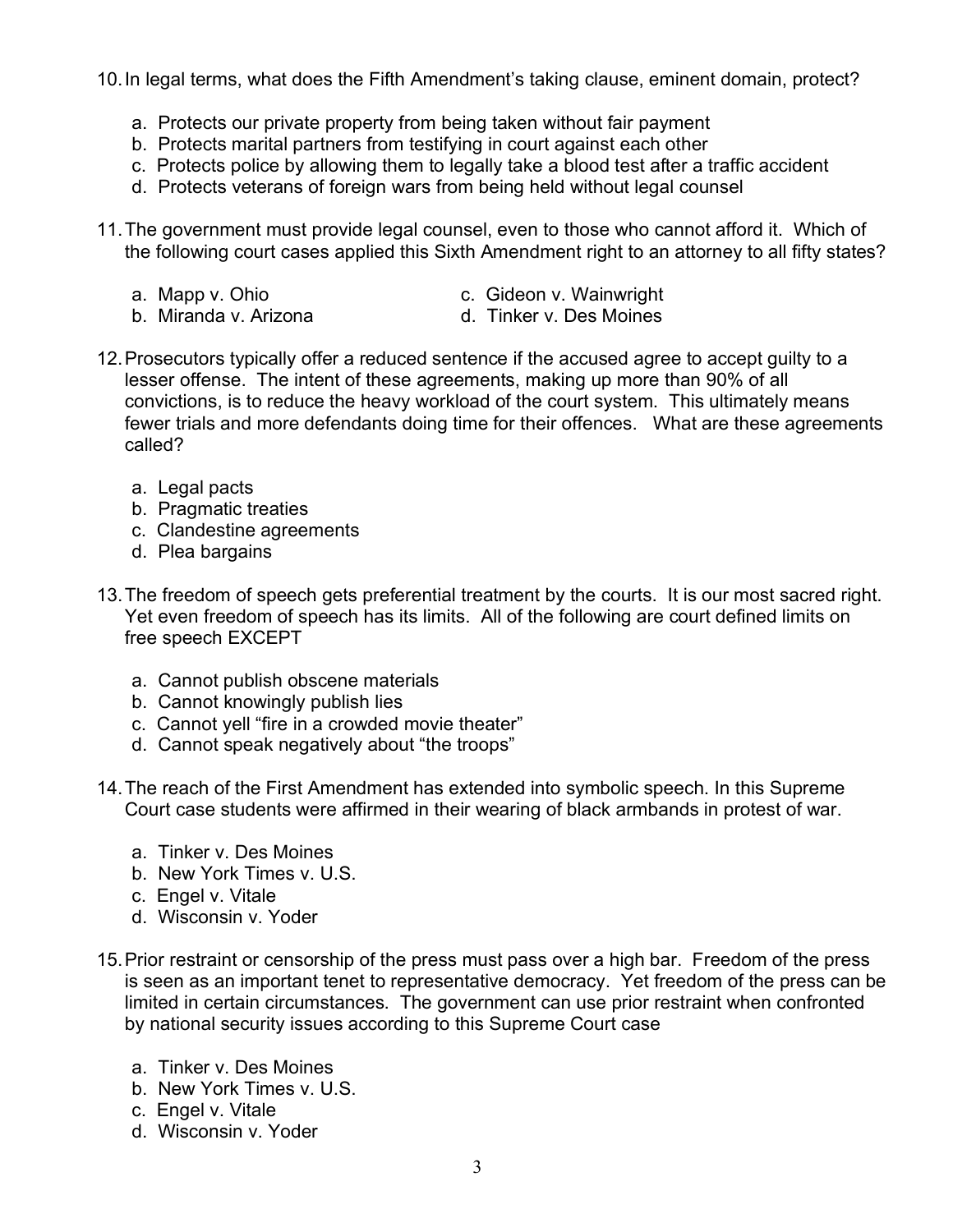10.In legal terms, what does the Fifth Amendment's taking clause, eminent domain, protect?

- a. Protects our private property from being taken without fair payment
- b. Protects marital partners from testifying in court against each other
- c. Protects police by allowing them to legally take a blood test after a traffic accident
- d. Protects veterans of foreign wars from being held without legal counsel
- 11.The government must provide legal counsel, even to those who cannot afford it. Which of the following court cases applied this Sixth Amendment right to an attorney to all fifty states?
	-
	- b. Miranda v. Arizona d. Tinker v. Des Moines
	- a. Mapp v. Ohio c. Gideon v. Wainwright
		-
- 12.Prosecutors typically offer a reduced sentence if the accused agree to accept guilty to a lesser offense. The intent of these agreements, making up more than 90% of all convictions, is to reduce the heavy workload of the court system. This ultimately means fewer trials and more defendants doing time for their offences. What are these agreements called?
	- a. Legal pacts
	- b. Pragmatic treaties
	- c. Clandestine agreements
	- d. Plea bargains
- 13.The freedom of speech gets preferential treatment by the courts. It is our most sacred right. Yet even freedom of speech has its limits. All of the following are court defined limits on free speech EXCEPT
	- a. Cannot publish obscene materials
	- b. Cannot knowingly publish lies
	- c. Cannot yell "fire in a crowded movie theater"
	- d. Cannot speak negatively about "the troops"
- 14.The reach of the First Amendment has extended into symbolic speech. In this Supreme Court case students were affirmed in their wearing of black armbands in protest of war.
	- a. Tinker v. Des Moines
	- b. New York Times v. U.S.
	- c. Engel v. Vitale
	- d. Wisconsin v. Yoder
- 15.Prior restraint or censorship of the press must pass over a high bar. Freedom of the press is seen as an important tenet to representative democracy. Yet freedom of the press can be limited in certain circumstances. The government can use prior restraint when confronted by national security issues according to this Supreme Court case
	- a. Tinker v. Des Moines
	- b. New York Times v. U.S.
	- c. Engel v. Vitale
	- d. Wisconsin v. Yoder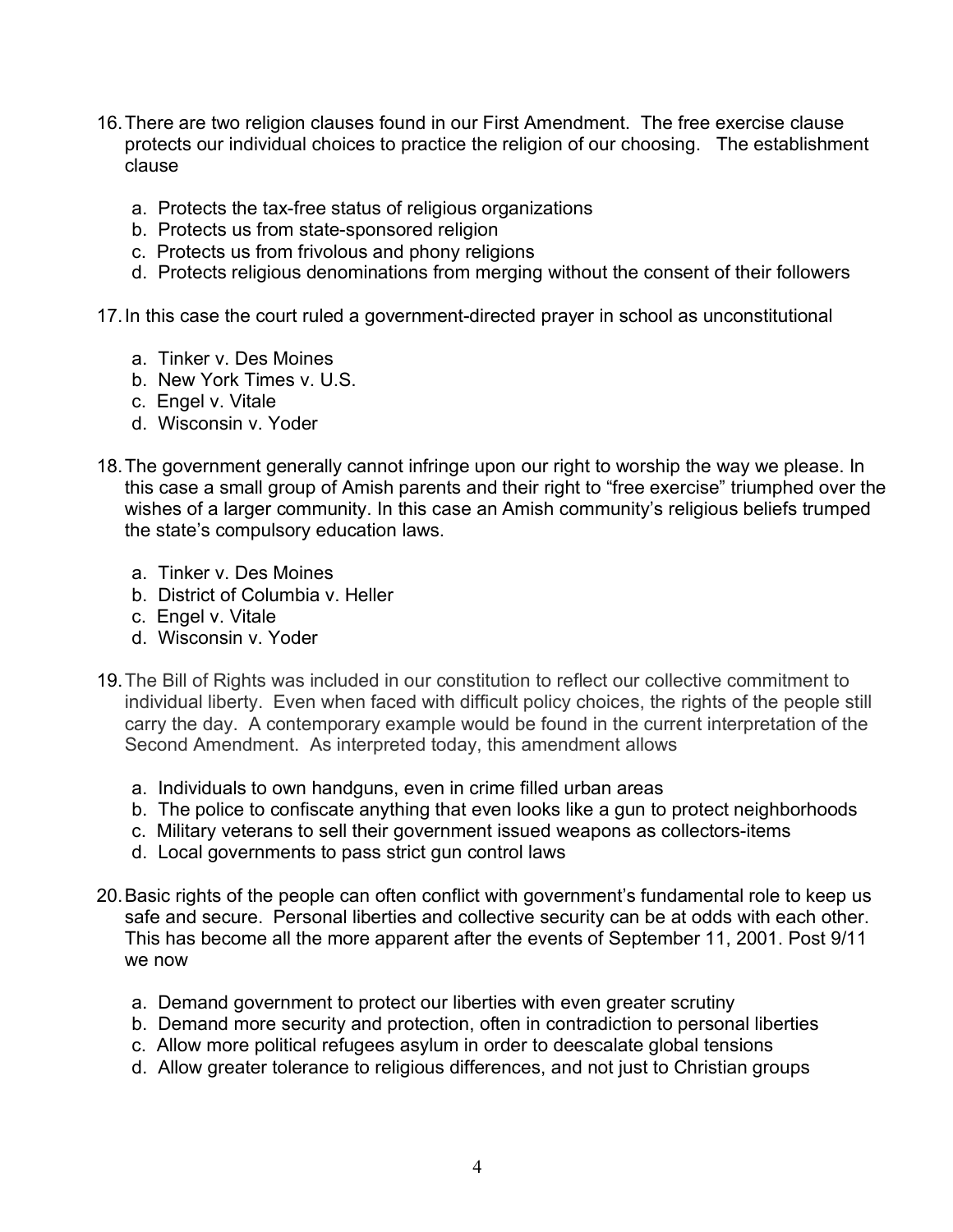- 16.There are two religion clauses found in our First Amendment. The free exercise clause protects our individual choices to practice the religion of our choosing. The establishment clause
	- a. Protects the tax-free status of religious organizations
	- b. Protects us from state-sponsored religion
	- c. Protects us from frivolous and phony religions
	- d. Protects religious denominations from merging without the consent of their followers

17.In this case the court ruled a government-directed prayer in school as unconstitutional

- a. Tinker v. Des Moines
- b. New York Times v. U.S.
- c. Engel v. Vitale
- d. Wisconsin v. Yoder
- 18.The government generally cannot infringe upon our right to worship the way we please. In this case a small group of Amish parents and their right to "free exercise" triumphed over the wishes of a larger community. In this case an Amish community's religious beliefs trumped the state's compulsory education laws.
	- a. Tinker v. Des Moines
	- b. District of Columbia v. Heller
	- c. Engel v. Vitale
	- d. Wisconsin v. Yoder
- 19.The Bill of Rights was included in our constitution to reflect our collective commitment to individual liberty. Even when faced with difficult policy choices, the rights of the people still carry the day. A contemporary example would be found in the current interpretation of the Second Amendment. As interpreted today, this amendment allows
	- a. Individuals to own handguns, even in crime filled urban areas
	- b. The police to confiscate anything that even looks like a gun to protect neighborhoods
	- c. Military veterans to sell their government issued weapons as collectors-items
	- d. Local governments to pass strict gun control laws
- 20.Basic rights of the people can often conflict with government's fundamental role to keep us safe and secure. Personal liberties and collective security can be at odds with each other. This has become all the more apparent after the events of September 11, 2001. Post 9/11 we now
	- a. Demand government to protect our liberties with even greater scrutiny
	- b. Demand more security and protection, often in contradiction to personal liberties
	- c. Allow more political refugees asylum in order to deescalate global tensions
	- d. Allow greater tolerance to religious differences, and not just to Christian groups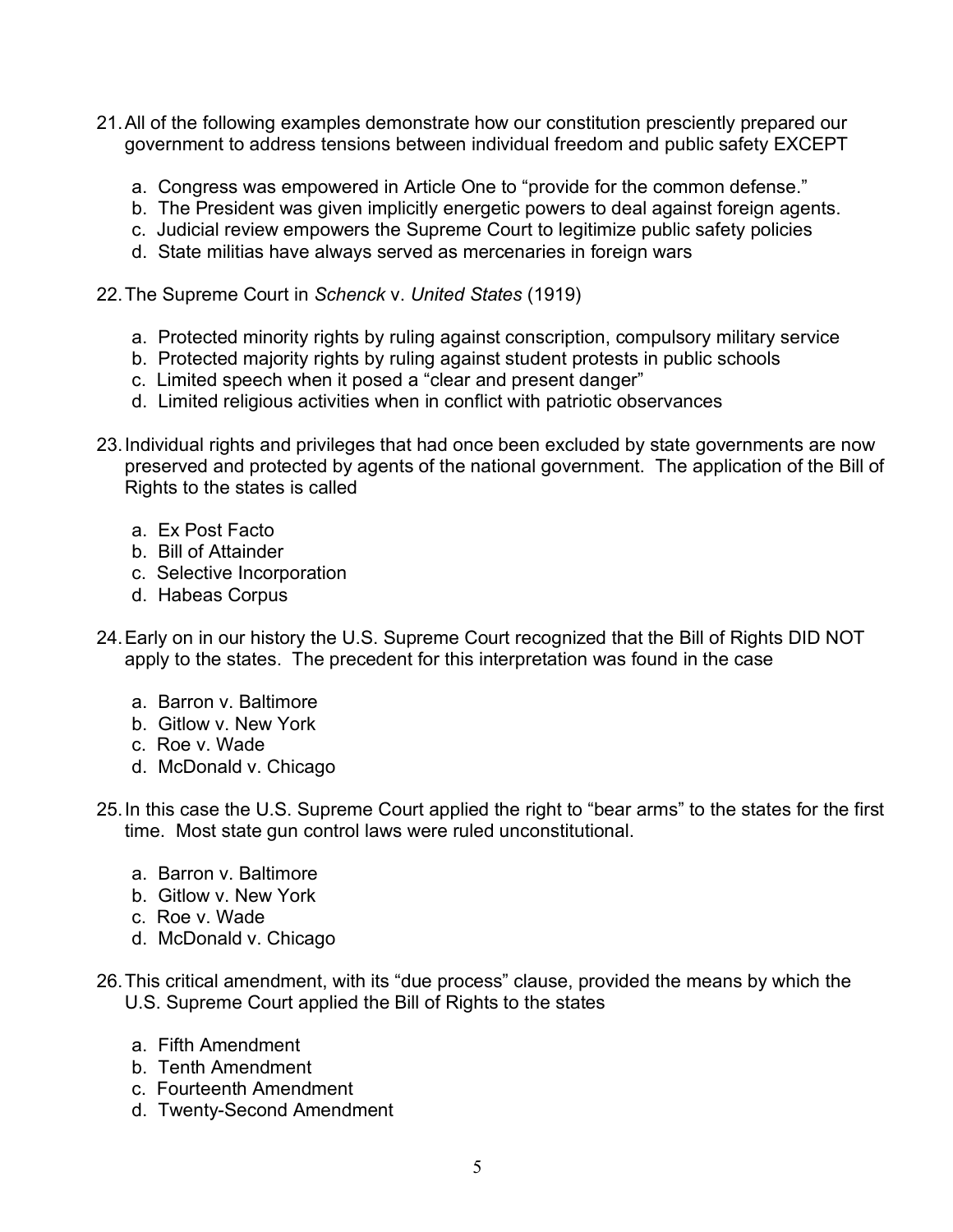- 21.All of the following examples demonstrate how our constitution presciently prepared our government to address tensions between individual freedom and public safety EXCEPT
	- a. Congress was empowered in Article One to "provide for the common defense."
	- b. The President was given implicitly energetic powers to deal against foreign agents.
	- c. Judicial review empowers the Supreme Court to legitimize public safety policies
	- d. State militias have always served as mercenaries in foreign wars
- 22.The Supreme Court in *Schenck* v. *United States* (1919)
	- a. Protected minority rights by ruling against conscription, compulsory military service
	- b. Protected majority rights by ruling against student protests in public schools
	- c. Limited speech when it posed a "clear and present danger"
	- d. Limited religious activities when in conflict with patriotic observances
- 23.Individual rights and privileges that had once been excluded by state governments are now preserved and protected by agents of the national government. The application of the Bill of Rights to the states is called
	- a. Ex Post Facto
	- b. Bill of Attainder
	- c. Selective Incorporation
	- d. Habeas Corpus
- 24.Early on in our history the U.S. Supreme Court recognized that the Bill of Rights DID NOT apply to the states. The precedent for this interpretation was found in the case
	- a. Barron v. Baltimore
	- b. Gitlow v. New York
	- c. Roe v. Wade
	- d. McDonald v. Chicago
- 25.In this case the U.S. Supreme Court applied the right to "bear arms" to the states for the first time. Most state gun control laws were ruled unconstitutional.
	- a. Barron v. Baltimore
	- b. Gitlow v. New York
	- c. Roe v. Wade
	- d. McDonald v. Chicago
- 26.This critical amendment, with its "due process" clause, provided the means by which the U.S. Supreme Court applied the Bill of Rights to the states
	- a. Fifth Amendment
	- b. Tenth Amendment
	- c. Fourteenth Amendment
	- d. Twenty-Second Amendment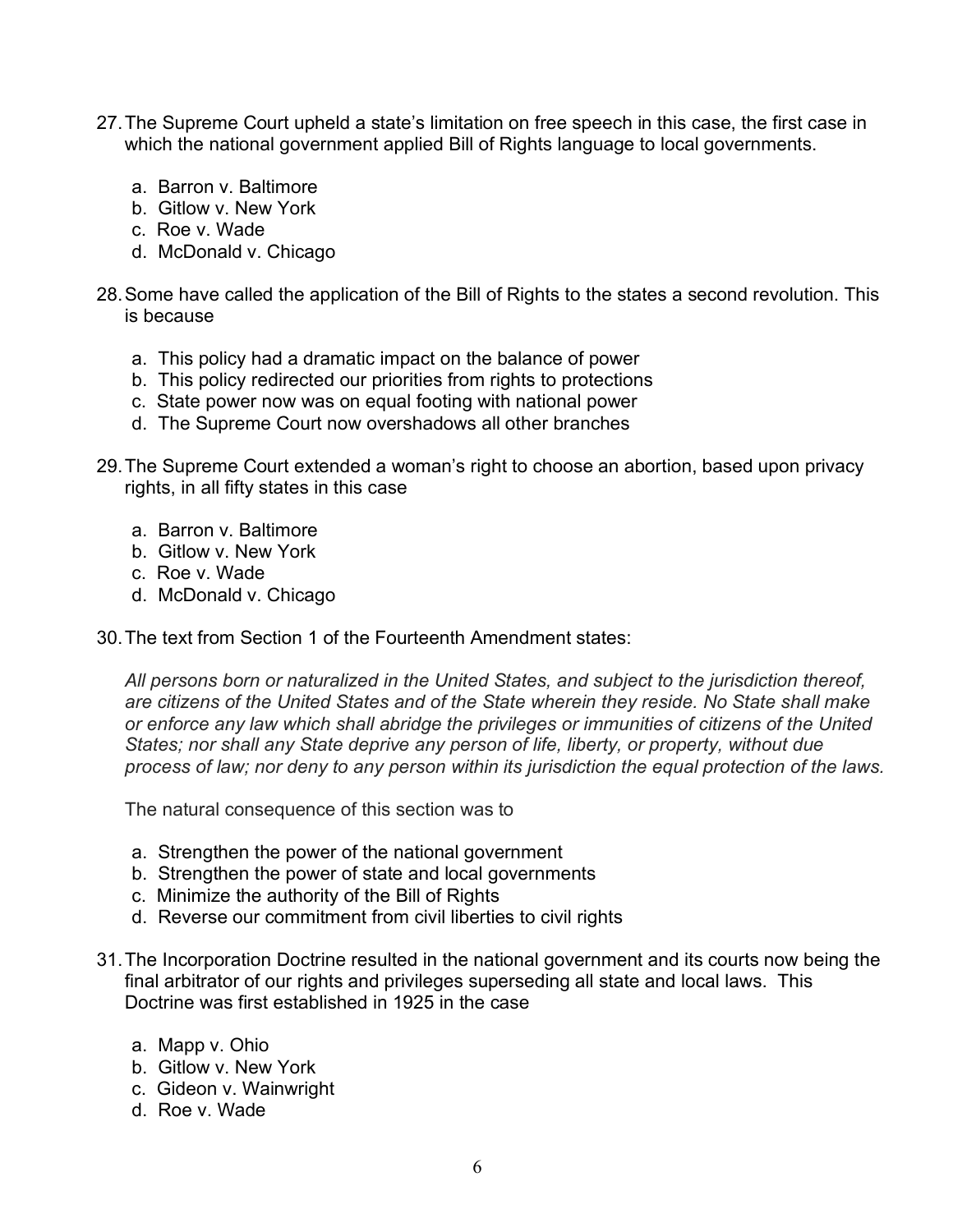- 27.The Supreme Court upheld a state's limitation on free speech in this case, the first case in which the national government applied Bill of Rights language to local governments.
	- a. Barron v. Baltimore
	- b. Gitlow v. New York
	- c. Roe v. Wade
	- d. McDonald v. Chicago
- 28.Some have called the application of the Bill of Rights to the states a second revolution. This is because
	- a. This policy had a dramatic impact on the balance of power
	- b. This policy redirected our priorities from rights to protections
	- c. State power now was on equal footing with national power
	- d. The Supreme Court now overshadows all other branches
- 29.The Supreme Court extended a woman's right to choose an abortion, based upon privacy rights, in all fifty states in this case
	- a. Barron v. Baltimore
	- b. Gitlow v. New York
	- c. Roe v. Wade
	- d. McDonald v. Chicago
- 30.The text from Section 1 of the Fourteenth Amendment states:

*All persons born or naturalized in the United States, and subject to the jurisdiction thereof, are citizens of the United States and of the State wherein they reside. No State shall make or enforce any law which shall abridge the privileges or immunities of citizens of the United States; nor shall any State deprive any person of life, liberty, or property, without due process of law; nor deny to any person within its jurisdiction the equal protection of the laws.*

The natural consequence of this section was to

- a. Strengthen the power of the national government
- b. Strengthen the power of state and local governments
- c. Minimize the authority of the Bill of Rights
- d. Reverse our commitment from civil liberties to civil rights
- 31.The Incorporation Doctrine resulted in the national government and its courts now being the final arbitrator of our rights and privileges superseding all state and local laws. This Doctrine was first established in 1925 in the case
	- a. Mapp v. Ohio
	- b. Gitlow v. New York
	- c. Gideon v. Wainwright
	- d. Roe v. Wade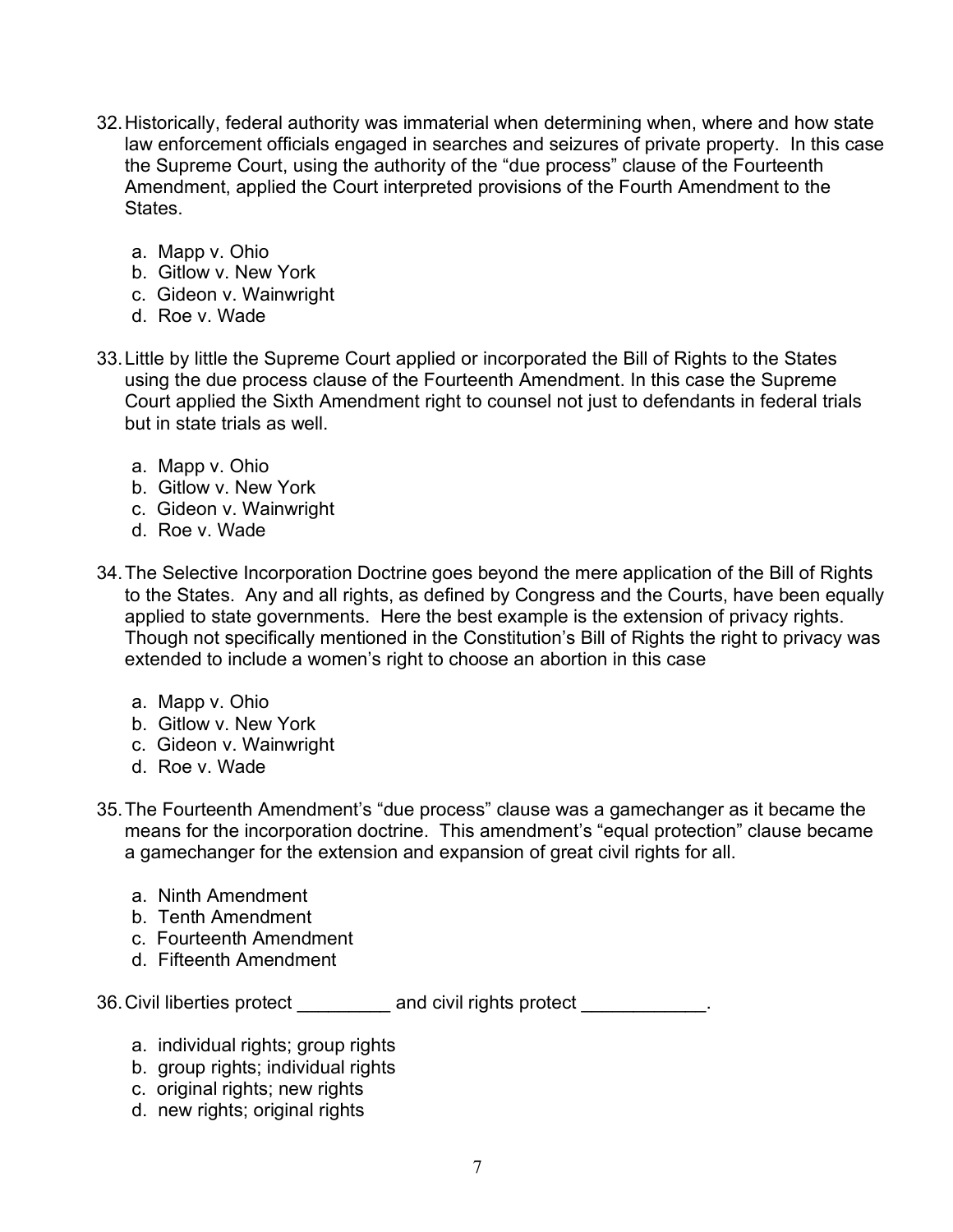- 32.Historically, federal authority was immaterial when determining when, where and how state law enforcement officials engaged in searches and seizures of private property. In this case the Supreme Court, using the authority of the "due process" clause of the Fourteenth Amendment, applied the Court interpreted provisions of the Fourth Amendment to the States.
	- a. Mapp v. Ohio
	- b. Gitlow v. New York
	- c. Gideon v. Wainwright
	- d. Roe v. Wade
- 33.Little by little the Supreme Court applied or incorporated the Bill of Rights to the States using the due process clause of the Fourteenth Amendment. In this case the Supreme Court applied the Sixth Amendment right to counsel not just to defendants in federal trials but in state trials as well.
	- a. Mapp v. Ohio
	- b. Gitlow v. New York
	- c. Gideon v. Wainwright
	- d. Roe v. Wade
- 34.The Selective Incorporation Doctrine goes beyond the mere application of the Bill of Rights to the States. Any and all rights, as defined by Congress and the Courts, have been equally applied to state governments. Here the best example is the extension of privacy rights. Though not specifically mentioned in the Constitution's Bill of Rights the right to privacy was extended to include a women's right to choose an abortion in this case
	- a. Mapp v. Ohio
	- b. Gitlow v. New York
	- c. Gideon v. Wainwright
	- d. Roe v. Wade
- 35.The Fourteenth Amendment's "due process" clause was a gamechanger as it became the means for the incorporation doctrine. This amendment's "equal protection" clause became a gamechanger for the extension and expansion of great civil rights for all.
	- a. Ninth Amendment
	- b. Tenth Amendment
	- c. Fourteenth Amendment
	- d. Fifteenth Amendment

36. Civil liberties protect and civil rights protect example for the control of the civil rights protect and civil rights protect and civil rights protect and civil rights protect and civil rights protect and civil rights

- a. individual rights; group rights
- b. group rights; individual rights
- c. original rights; new rights
- d. new rights; original rights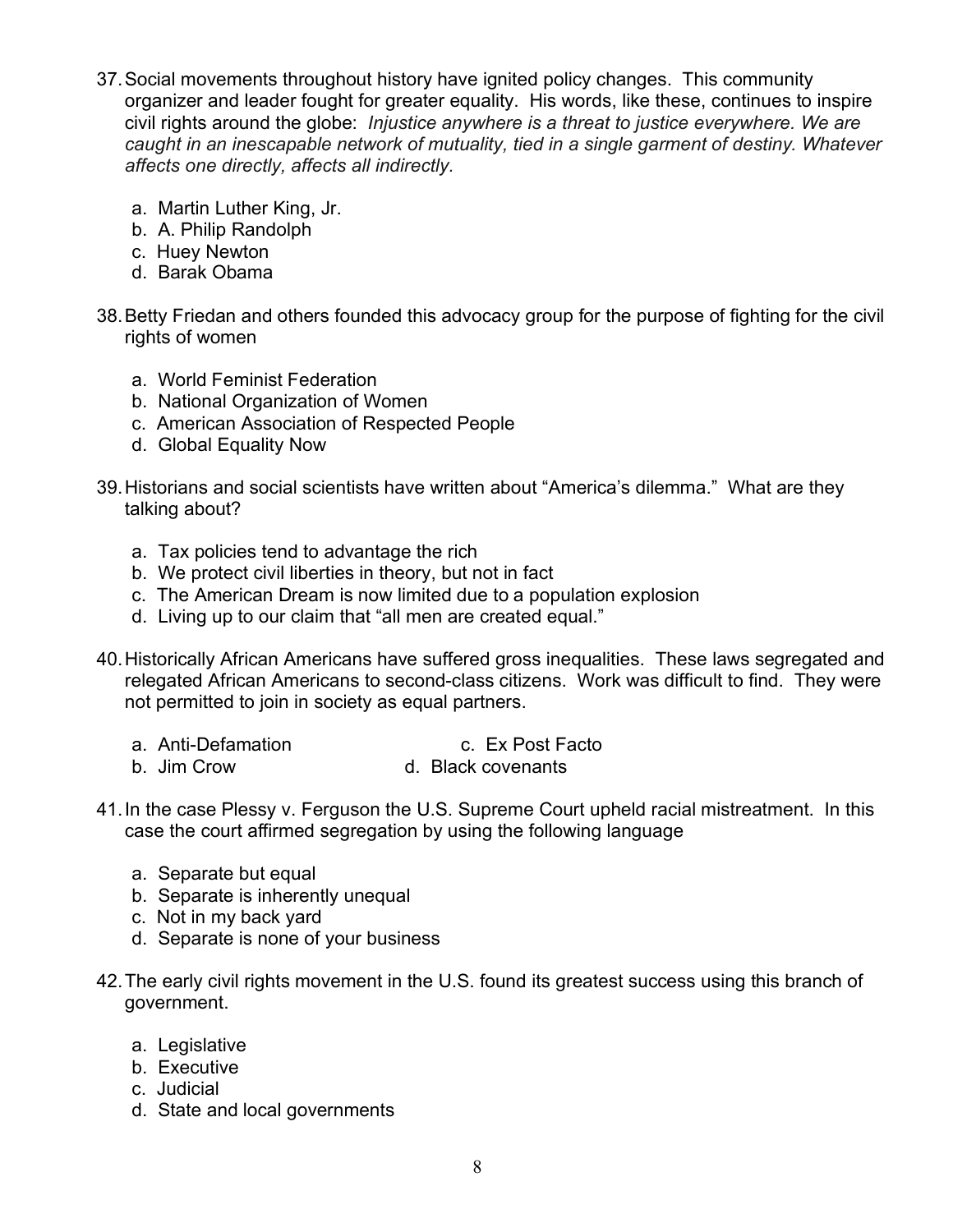- 37.Social movements throughout history have ignited policy changes. This community organizer and leader fought for greater equality. His words, like these, continues to inspire civil rights around the globe: *Injustice anywhere is a threat to justice everywhere. We are caught in an inescapable network of mutuality, tied in a single garment of destiny. Whatever affects one directly, affects all indirectly.*
	- a. Martin Luther King, Jr.
	- b. A. Philip Randolph
	- c. Huey Newton
	- d. Barak Obama
- 38.Betty Friedan and others founded this advocacy group for the purpose of fighting for the civil rights of women
	- a. World Feminist Federation
	- b. National Organization of Women
	- c. American Association of Respected People
	- d. Global Equality Now
- 39.Historians and social scientists have written about "America's dilemma." What are they talking about?
	- a. Tax policies tend to advantage the rich
	- b. We protect civil liberties in theory, but not in fact
	- c. The American Dream is now limited due to a population explosion
	- d. Living up to our claim that "all men are created equal."
- 40.Historically African Americans have suffered gross inequalities. These laws segregated and relegated African Americans to second-class citizens. Work was difficult to find. They were not permitted to join in society as equal partners.
	- a. Anti-Defamation c. Ex Post Facto
	- b. Jim Crow d. Black covenants
- 41.In the case Plessy v. Ferguson the U.S. Supreme Court upheld racial mistreatment. In this case the court affirmed segregation by using the following language
	- a. Separate but equal
	- b. Separate is inherently unequal
	- c. Not in my back yard
	- d. Separate is none of your business
- 42.The early civil rights movement in the U.S. found its greatest success using this branch of government.
	- a. Legislative
	- b. Executive
	- c. Judicial
	- d. State and local governments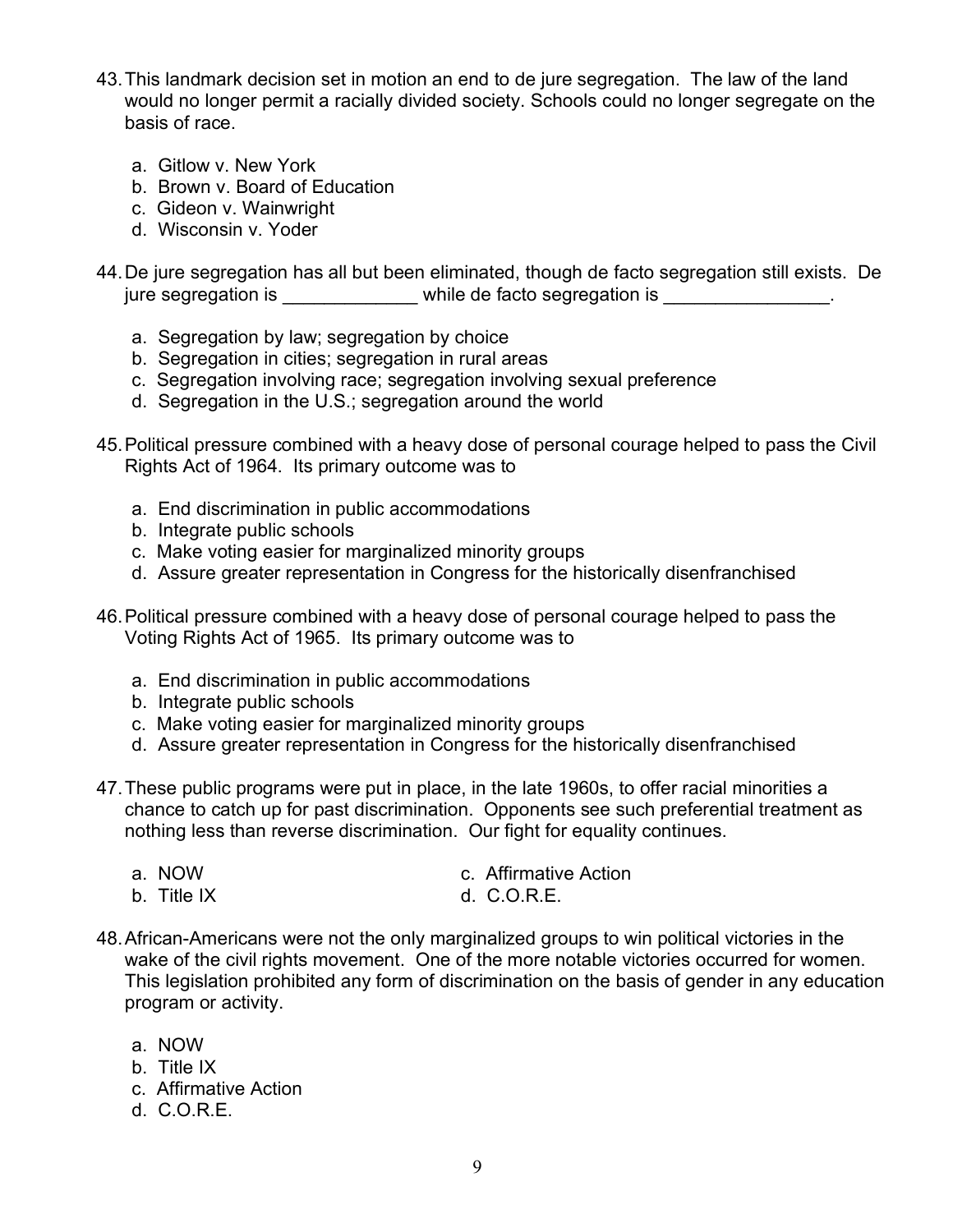- 43.This landmark decision set in motion an end to de jure segregation. The law of the land would no longer permit a racially divided society. Schools could no longer segregate on the basis of race.
	- a. Gitlow v. New York
	- b. Brown v. Board of Education
	- c. Gideon v. Wainwright
	- d. Wisconsin v. Yoder
- 44.De jure segregation has all but been eliminated, though de facto segregation still exists. De jure segregation is  $\blacksquare$  while de facto segregation is  $\blacksquare$ 
	- a. Segregation by law; segregation by choice
	- b. Segregation in cities; segregation in rural areas
	- c. Segregation involving race; segregation involving sexual preference
	- d. Segregation in the U.S.; segregation around the world
- 45.Political pressure combined with a heavy dose of personal courage helped to pass the Civil Rights Act of 1964. Its primary outcome was to
	- a. End discrimination in public accommodations
	- b. Integrate public schools
	- c. Make voting easier for marginalized minority groups
	- d. Assure greater representation in Congress for the historically disenfranchised
- 46.Political pressure combined with a heavy dose of personal courage helped to pass the Voting Rights Act of 1965. Its primary outcome was to
	- a. End discrimination in public accommodations
	- b. Integrate public schools
	- c. Make voting easier for marginalized minority groups
	- d. Assure greater representation in Congress for the historically disenfranchised
- 47.These public programs were put in place, in the late 1960s, to offer racial minorities a chance to catch up for past discrimination. Opponents see such preferential treatment as nothing less than reverse discrimination. Our fight for equality continues.
	- a. NOW c. Affirmative Action b. Title IX d. C.O.R.E.
- 48.African-Americans were not the only marginalized groups to win political victories in the wake of the civil rights movement. One of the more notable victories occurred for women. This legislation prohibited any form of discrimination on the basis of gender in any education program or activity.
	- a. NOW
	- b. Title IX
	- c. Affirmative Action
	- d. C.O.R.E.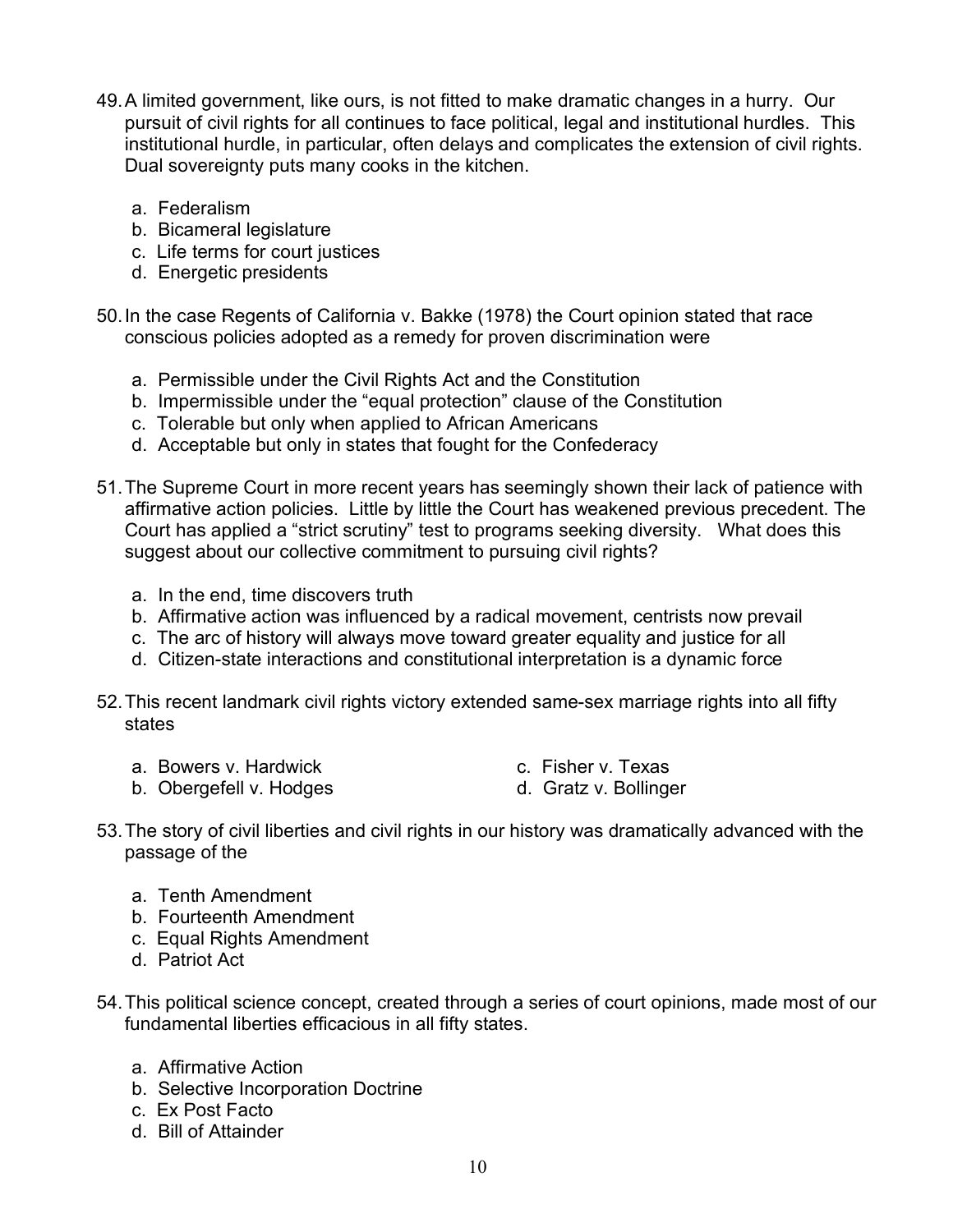- 49.A limited government, like ours, is not fitted to make dramatic changes in a hurry. Our pursuit of civil rights for all continues to face political, legal and institutional hurdles. This institutional hurdle, in particular, often delays and complicates the extension of civil rights. Dual sovereignty puts many cooks in the kitchen.
	- a. Federalism
	- b. Bicameral legislature
	- c. Life terms for court justices
	- d. Energetic presidents
- 50.In the case Regents of California v. Bakke (1978) the Court opinion stated that race conscious policies adopted as a remedy for proven discrimination were
	- a. Permissible under the Civil Rights Act and the Constitution
	- b. Impermissible under the "equal protection" clause of the Constitution
	- c. Tolerable but only when applied to African Americans
	- d. Acceptable but only in states that fought for the Confederacy
- 51.The Supreme Court in more recent years has seemingly shown their lack of patience with affirmative action policies. Little by little the Court has weakened previous precedent. The Court has applied a "strict scrutiny" test to programs seeking diversity. What does this suggest about our collective commitment to pursuing civil rights?
	- a. In the end, time discovers truth
	- b. Affirmative action was influenced by a radical movement, centrists now prevail
	- c. The arc of history will always move toward greater equality and justice for all
	- d. Citizen-state interactions and constitutional interpretation is a dynamic force
- 52.This recent landmark civil rights victory extended same-sex marriage rights into all fifty states
	- a. Bowers v. Hardwick c. Fisher v. Texas
- - b. Obergefell v. Hodges d. Gratz v. Bollinger
- 
- 53.The story of civil liberties and civil rights in our history was dramatically advanced with the passage of the
	- a. Tenth Amendment
	- b. Fourteenth Amendment
	- c. Equal Rights Amendment
	- d. Patriot Act
- 54.This political science concept, created through a series of court opinions, made most of our fundamental liberties efficacious in all fifty states.
	- a. Affirmative Action
	- b. Selective Incorporation Doctrine
	- c. Ex Post Facto
	- d. Bill of Attainder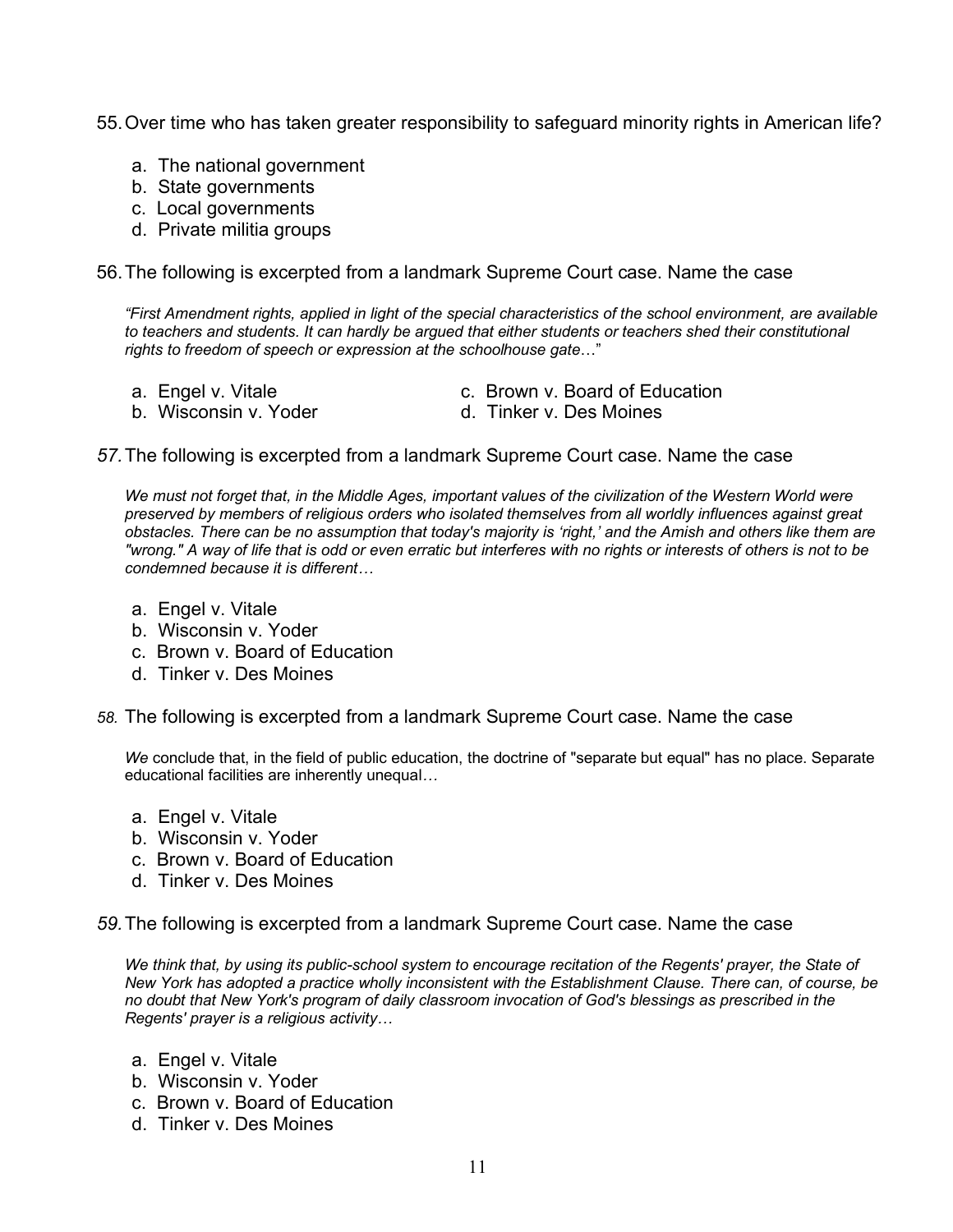55.Over time who has taken greater responsibility to safeguard minority rights in American life?

- a. The national government
- b. State governments
- c. Local governments
- d. Private militia groups

56.The following is excerpted from a landmark Supreme Court case. Name the case

*"First Amendment rights, applied in light of the special characteristics of the school environment, are available to teachers and students. It can hardly be argued that either students or teachers shed their constitutional rights to freedom of speech or expression at the schoolhouse gate*…"

- 
- b. Wisconsin v. Yoder d. Tinker v. Des Moines
- a. Engel v. Vitale **c. Brown v. Board of Education** 
	-

## *57.*The following is excerpted from a landmark Supreme Court case. Name the case

*We must not forget that, in the Middle Ages, important values of the civilization of the Western World were preserved by members of religious orders who isolated themselves from all worldly influences against great obstacles. There can be no assumption that today's majority is 'right,' and the Amish and others like them are "wrong." A way of life that is odd or even erratic but interferes with no rights or interests of others is not to be condemned because it is different…*

- a. Engel v. Vitale
- b. Wisconsin v. Yoder
- c. Brown v. Board of Education
- d. Tinker v. Des Moines
- *58.* The following is excerpted from a landmark Supreme Court case. Name the case

*We* conclude that, in the field of public education, the doctrine of "separate but equal" has no place. Separate educational facilities are inherently unequal*…*

- a. Engel v. Vitale
- b. Wisconsin v. Yoder
- c. Brown v. Board of Education
- d. Tinker v. Des Moines

*59.*The following is excerpted from a landmark Supreme Court case. Name the case

*We think that, by using its public-school system to encourage recitation of the Regents' prayer, the State of New York has adopted a practice wholly inconsistent with the Establishment Clause. There can, of course, be no doubt that New York's program of daily classroom invocation of God's blessings as prescribed in the Regents' prayer is a religious activity…*

- a. Engel v. Vitale
- b. Wisconsin v. Yoder
- c. Brown v. Board of Education
- d. Tinker v. Des Moines